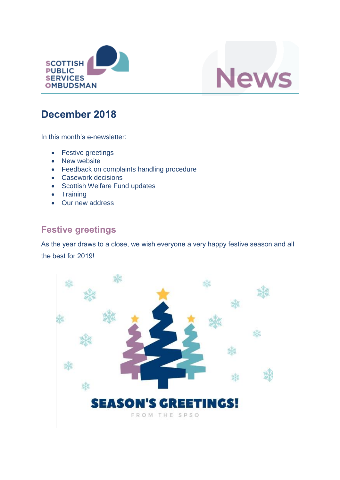



# **December 2018**

In this month's e-newsletter:

- Festive greetings
- New website
- Feedback on complaints handling procedure
- Casework decisions
- Scottish Welfare Fund updates
- Training
- Our new address

## **Festive greetings**

As the year draws to a close, we wish everyone a very happy festive season and all the best for 2019!

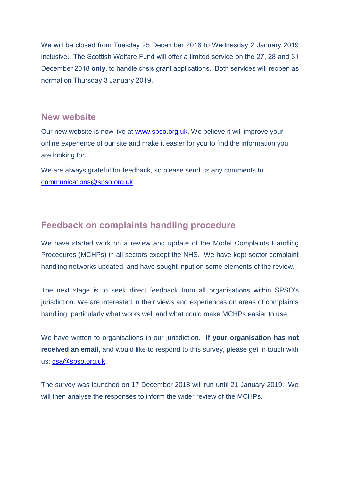We will be closed from Tuesday 25 December 2018 to Wednesday 2 January 2019 inclusive. The Scottish Welfare Fund will offer a limited service on the 27, 28 and 31 December 2018 **only**, to handle crisis grant applications. Both services will reopen as normal on Thursday 3 January 2019.

#### **New website**

Our new website is now live at [www.spso.org.uk.](http://www.spso.org.uk/) We believe it will improve your online experience of our site and make it easier for you to find the information you are looking for.

We are always grateful for feedback, so please send us any comments to [communications@spso.org.uk](mailto:communications@spso.org.uk)

#### **Feedback on complaints handling procedure**

We have started work on a review and update of the Model Complaints Handling Procedures (MCHPs) in all sectors except the NHS. We have kept sector complaint handling networks updated, and have sought input on some elements of the review.

The next stage is to seek direct feedback from all organisations within SPSO's jurisdiction. We are interested in their views and experiences on areas of complaints handling, particularly what works well and what could make MCHPs easier to use.

We have written to organisations in our jurisdiction. **If your organisation has not received an email**, and would like to respond to this survey, please get in touch with us: [csa@spso.org.uk.](mailto:csa@spso.org.uk)

The survey was launched on 17 December 2018 will run until 21 January 2019. We will then analyse the responses to inform the wider review of the MCHPs.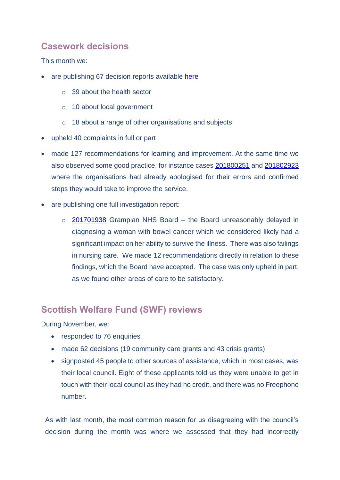## **Casework decisions**

This month we:

- are publishing 67 decision reports available [here](https://www.spso.org.uk/our-findings)
	- o 39 about the health sector
	- o 10 about local government
	- o 18 about a range of other organisations and subjects
- upheld 40 complaints in full or part
- made 127 recommendations for learning and improvement. At the same time we also observed some good practice, for instance cases [201800251](https://www.spso.org.uk/decision-reports/2018/december/decision-report-201800251-201800251) and [201802923](https://www.spso.org.uk/decision-reports/2018/december/decision-report-201802923-201802923) where the organisations had already apologised for their errors and confirmed steps they would take to improve the service.
- are publishing one full investigation report:
	- o [201701938](https://www.spso.org.uk/investigation-reports/2018/december/grampian-nhs-board) Grampian NHS Board the Board unreasonably delayed in diagnosing a woman with bowel cancer which we considered likely had a significant impact on her ability to survive the illness. There was also failings in nursing care. We made 12 recommendations directly in relation to these findings, which the Board have accepted. The case was only upheld in part, as we found other areas of care to be satisfactory.

#### **Scottish Welfare Fund (SWF) reviews**

During November, we:

- responded to 76 enquiries
- made 62 decisions (19 community care grants and 43 crisis grants)
- signposted 45 people to other sources of assistance, which in most cases, was their local council. Eight of these applicants told us they were unable to get in touch with their local council as they had no credit, and there was no Freephone number.

As with last month, the most common reason for us disagreeing with the council's decision during the month was where we assessed that they had incorrectly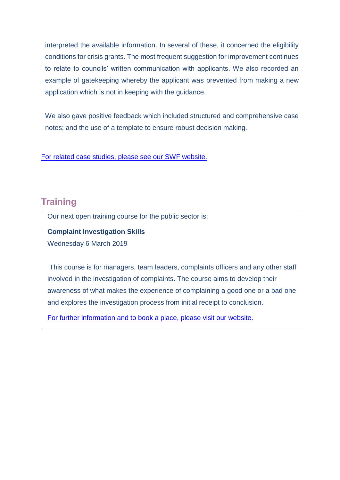interpreted the available information. In several of these, it concerned the eligibility conditions for crisis grants. The most frequent suggestion for improvement continues to relate to councils' written communication with applicants. We also recorded an example of gatekeeping whereby the applicant was prevented from making a new application which is not in keeping with the guidance.

We also gave positive feedback which included structured and comprehensive case notes; and the use of a template to ensure robust decision making.

[For related case studies, please see our](https://www.spso.org.uk/scottishwelfarefund/case-summaries) SWF website.

### **Training**

Our next open training course for the public sector is:

**Complaint Investigation Skills**

Wednesday 6 March 2019

This course is for managers, team leaders, complaints officers and any other staff involved in the investigation of complaints. The course aims to develop their awareness of what makes the experience of complaining a good one or a bad one and explores the investigation process from initial receipt to conclusion.

[For further information and to book a place, please visit our website.](http://www.valuingcomplaints.org.uk/training/training-courses)